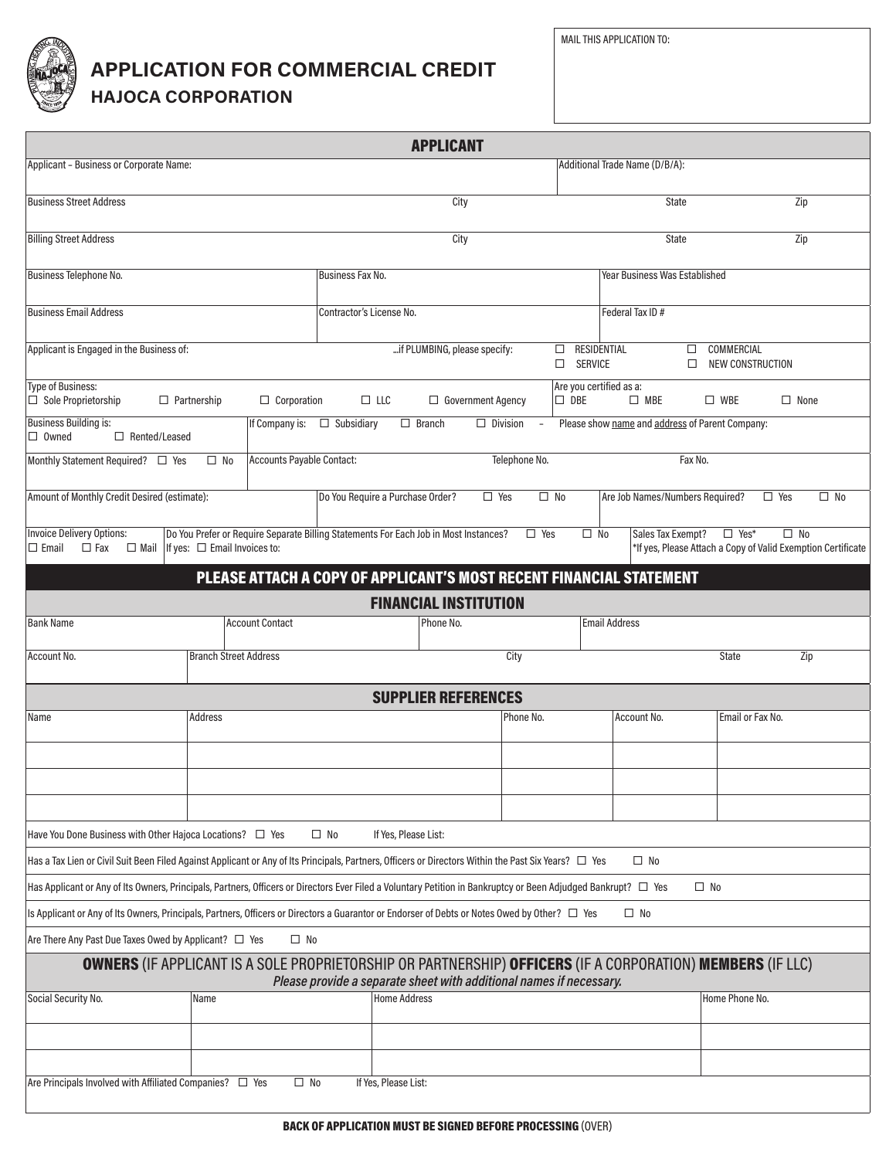

## **APPLICATION FOR COMMERCIAL CREDIT**

**HAJOCA CORPORATION**

|                                                                                                                                                                     |                                        |                        |                                                                                      | <b>APPLICANT</b>             |                          |                 |                                                 |                                      |                  |                                                                              |
|---------------------------------------------------------------------------------------------------------------------------------------------------------------------|----------------------------------------|------------------------|--------------------------------------------------------------------------------------|------------------------------|--------------------------|-----------------|-------------------------------------------------|--------------------------------------|------------------|------------------------------------------------------------------------------|
| Applicant - Business or Corporate Name:                                                                                                                             |                                        |                        |                                                                                      |                              |                          |                 | Additional Trade Name (D/B/A):                  |                                      |                  |                                                                              |
| <b>Business Street Address</b>                                                                                                                                      |                                        |                        |                                                                                      | City                         |                          |                 |                                                 | <b>State</b>                         |                  | Zip                                                                          |
| <b>Billing Street Address</b>                                                                                                                                       |                                        |                        |                                                                                      | City                         |                          |                 |                                                 | <b>State</b>                         |                  | Zip                                                                          |
| Business Telephone No.                                                                                                                                              |                                        |                        | <b>Business Fax No.</b>                                                              |                              |                          |                 |                                                 | <b>Year Business Was Established</b> |                  |                                                                              |
| <b>Business Email Address</b>                                                                                                                                       |                                        |                        | Contractor's License No.                                                             |                              |                          | Federal Tax ID# |                                                 |                                      |                  |                                                                              |
| Applicant is Engaged in the Business of:                                                                                                                            |                                        |                        |                                                                                      | if PLUMBING, please specify: |                          | □<br>$\Box$     | RESIDENTIAL<br><b>SERVICE</b>                   | COMMERCIAL<br>□<br>$\Box$            | NEW CONSTRUCTION |                                                                              |
| <b>Type of Business:</b><br>$\Box$ Sole Proprietorship                                                                                                              | $\Box$ Partnership                     | $\Box$ Corporation     | $\Box$ LLC                                                                           |                              | $\Box$ Government Agency | $\square$ DBE   | Are you certified as a:<br>$\Box$ MBE           | $\square$ WBE                        |                  | $\Box$ None                                                                  |
| <b>Business Building is:</b><br>If Company is:<br>$\Box$ Owned<br>$\Box$ Rented/Leased                                                                              |                                        |                        | $\Box$ Subsidiary<br>$\Box$ Branch<br>$\Box$ Division<br>$\overline{\phantom{a}}$    |                              |                          |                 | Please show name and address of Parent Company: |                                      |                  |                                                                              |
|                                                                                                                                                                     | Accounts Payable Contact:<br>$\Box$ No |                        | Telephone No.                                                                        |                              |                          |                 | Fax No.                                         |                                      |                  |                                                                              |
| Amount of Monthly Credit Desired (estimate):                                                                                                                        |                                        |                        | Do You Require a Purchase Order?                                                     |                              | $\Box$ Yes               | $\square$ No    |                                                 | Are Job Names/Numbers Required?      | $\Box$ Yes       | $\square$ No                                                                 |
| <b>Invoice Delivery Options:</b><br>$\Box$ Mail<br>$\Box$ Email<br>$\Box$ Fax                                                                                       | If yes: $\Box$ Email Invoices to:      |                        | Do You Prefer or Require Separate Billing Statements For Each Job in Most Instances? |                              |                          | $\Box$ Yes      | $\square$ No                                    | Sales Tax Exempt?                    | $\square$ Yes*   | $\square$ No<br>*If yes, Please Attach a Copy of Valid Exemption Certificate |
|                                                                                                                                                                     |                                        |                        | PLEASE ATTACH A COPY OF APPLICANT'S MOST RECENT FINANCIAL STATEMENT                  |                              |                          |                 |                                                 |                                      |                  |                                                                              |
|                                                                                                                                                                     |                                        |                        |                                                                                      | <b>FINANCIAL INSTITUTION</b> |                          |                 |                                                 |                                      |                  |                                                                              |
| <b>Bank Name</b>                                                                                                                                                    |                                        | <b>Account Contact</b> |                                                                                      | Phone No.                    |                          |                 | <b>Email Address</b>                            |                                      |                  |                                                                              |
| Account No.                                                                                                                                                         | <b>Branch Street Address</b>           |                        |                                                                                      |                              | City                     |                 |                                                 | <b>State</b>                         |                  | Zip                                                                          |
|                                                                                                                                                                     |                                        |                        |                                                                                      | <b>SUPPLIER REFERENCES</b>   |                          |                 |                                                 |                                      |                  |                                                                              |
| Name                                                                                                                                                                | Address                                |                        |                                                                                      |                              | Phone No.                |                 | Account No.                                     |                                      | Email or Fax No. |                                                                              |
|                                                                                                                                                                     |                                        |                        |                                                                                      |                              |                          |                 |                                                 |                                      |                  |                                                                              |
|                                                                                                                                                                     |                                        |                        |                                                                                      |                              |                          |                 |                                                 |                                      |                  |                                                                              |
| Have You Done Business with Other Hajoca Locations? □ Yes                                                                                                           |                                        |                        | $\square$ No                                                                         | If Yes, Please List:         |                          |                 |                                                 |                                      |                  |                                                                              |
| Has a Tax Lien or Civil Suit Been Filed Against Applicant or Any of Its Principals, Partners, Officers or Directors Within the Past Six Years? □ Yes                |                                        |                        |                                                                                      |                              |                          |                 | $\square$ No                                    |                                      |                  |                                                                              |
| Has Applicant or Any of Its Owners, Principals, Partners, Officers or Directors Ever Filed a Voluntary Petition in Bankruptcy or Been Adjudged Bankrupt? $\Box$ Yes |                                        |                        |                                                                                      |                              |                          |                 |                                                 | $\square$ No                         |                  |                                                                              |
| Is Applicant or Any of Its Owners, Principals, Partners, Officers or Directors a Guarantor or Endorser of Debts or Notes Owed by Other? □ Yes                       |                                        |                        |                                                                                      |                              |                          |                 | $\square$ No                                    |                                      |                  |                                                                              |
| Are There Any Past Due Taxes Owed by Applicant? □ Yes                                                                                                               |                                        | $\square$ No           |                                                                                      |                              |                          |                 |                                                 |                                      |                  |                                                                              |
| <b>OWNERS</b> (IF APPLICANT IS A SOLE PROPRIETORSHIP OR PARTNERSHIP) OFFICERS (IF A CORPORATION) MEMBERS (IF LLC)                                                   |                                        |                        | Please provide a separate sheet with additional names if necessary.                  |                              |                          |                 |                                                 |                                      |                  |                                                                              |
| Social Security No.                                                                                                                                                 | Name                                   |                        | <b>Home Address</b>                                                                  |                              |                          |                 |                                                 | Home Phone No.                       |                  |                                                                              |
|                                                                                                                                                                     |                                        |                        |                                                                                      |                              |                          |                 |                                                 |                                      |                  |                                                                              |
| Are Principals Involved with Affiliated Companies? □ Yes                                                                                                            |                                        | $\square$ No           | If Yes, Please List:                                                                 |                              |                          |                 |                                                 |                                      |                  |                                                                              |
|                                                                                                                                                                     |                                        |                        |                                                                                      |                              |                          |                 |                                                 |                                      |                  |                                                                              |